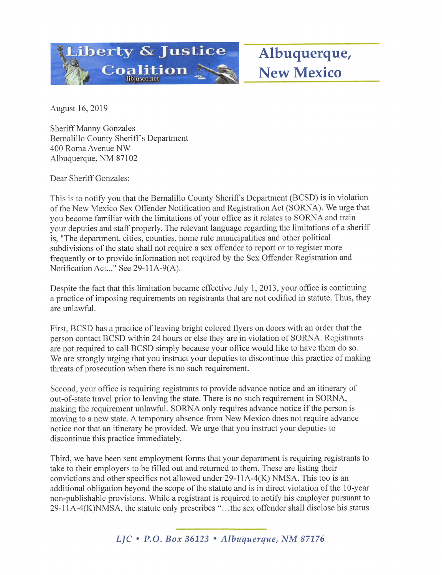

Albuquerque, New Mexico

August 16, 2019

Sheriff Manny Gonzales Bemalillo County Sheriff's Department 400 Roma Avenue NW Albuquerque, NM 87102

Dear Sheriff Gonzales:

This is to notify you that the Bemalillo County Sheriffs Department (BCSD) is in violation of the New Mexico Sex Offender Notification and Registration Act (SORNA). We urge that you become familiar with the limitations of your office as it relates to SORNA and train your deputies and staff properly. The relevant language regarding the limitations of a sheriff is, "The department, cities, counties, home rule municipalities and other political subdivisions of the state shall not require a sex offender to report or to register more frequently or to provide information not required by the Sex Offender Registration and Notification Act..." See 29-llA-9(A).

Despite the fact that this limitation became effective July 1, 2013, your office is continuing a practice of imposing requirements on registrants that are not codified in statute. Thus, they are unlawful.

First, BCSD has a practice of leaving bright colored flyers on doors with an order that the person contact BCSD within 24 hours or else they are in violation of SORNA. Registrants are not required to call BCSD simply because your office would like to have them do so. We are strongly urging that you instruct your deputies to discontinue this practice of making threats of prosecution when there is no such requirement.

Second, your office is requiring registrants to provide advance notice and an itinerary of out-of-state travel prior to leaving the state. There is no such requirement in SORNA, making the requirement unlawful. SORNA only requires advance notice if the person is moving to a new state. A temporary absence from New Mexico does not require advance notice nor that an itinerary be provided. We urge that you instmct your deputies to discontinue this practice immediately.

Third, we have been sent employment forms that your department is requiring registrants to take to their employers to be filled out and returned to them. These are listing their convictions and other specifics not allowed under  $29-11A-4(K)$  NMSA. This too is an additional obligation beyond the scope of the statute and is in direct violation of the 10-year non-publishable provisions. While a registrant is required to notify his employer pursuant to 29-llA-4(K)NMSA, the statute only prescribes "...the sex offender shall disclose his status